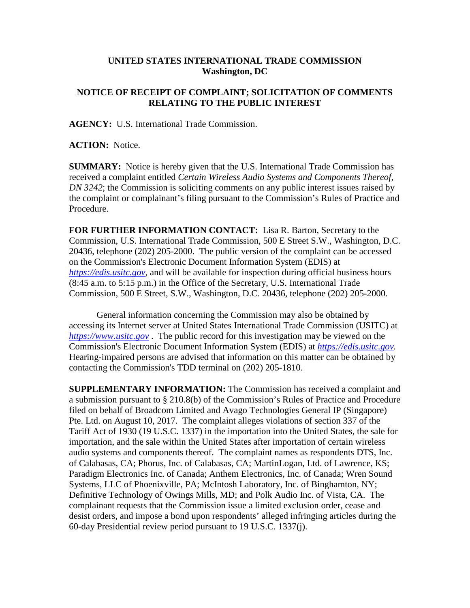## **UNITED STATES INTERNATIONAL TRADE COMMISSION Washington, DC**

## **NOTICE OF RECEIPT OF COMPLAINT; SOLICITATION OF COMMENTS RELATING TO THE PUBLIC INTEREST**

**AGENCY:** U.S. International Trade Commission.

**ACTION:** Notice.

**SUMMARY:** Notice is hereby given that the U.S. International Trade Commission has received a complaint entitled *Certain Wireless Audio Systems and Components Thereof, DN 3242*; the Commission is soliciting comments on any public interest issues raised by the complaint or complainant's filing pursuant to the Commission's Rules of Practice and Procedure.

**FOR FURTHER INFORMATION CONTACT:** Lisa R. Barton, Secretary to the Commission, U.S. International Trade Commission, 500 E Street S.W., Washington, D.C. 20436, telephone (202) 205-2000. The public version of the complaint can be accessed on the Commission's Electronic Document Information System (EDIS) at *[https://edis.usitc.gov](https://edis.usitc.gov/)*, and will be available for inspection during official business hours (8:45 a.m. to 5:15 p.m.) in the Office of the Secretary, U.S. International Trade Commission, 500 E Street, S.W., Washington, D.C. 20436, telephone (202) 205-2000.

General information concerning the Commission may also be obtained by accessing its Internet server at United States International Trade Commission (USITC) at *[https://www.usitc.gov](https://www.usitc.gov/)* . The public record for this investigation may be viewed on the Commission's Electronic Document Information System (EDIS) at *[https://edis.usitc.gov.](https://edis.usitc.gov/)* Hearing-impaired persons are advised that information on this matter can be obtained by contacting the Commission's TDD terminal on (202) 205-1810.

**SUPPLEMENTARY INFORMATION:** The Commission has received a complaint and a submission pursuant to § 210.8(b) of the Commission's Rules of Practice and Procedure filed on behalf of Broadcom Limited and Avago Technologies General IP (Singapore) Pte. Ltd. on August 10, 2017. The complaint alleges violations of section 337 of the Tariff Act of 1930 (19 U.S.C. 1337) in the importation into the United States, the sale for importation, and the sale within the United States after importation of certain wireless audio systems and components thereof. The complaint names as respondents DTS, Inc. of Calabasas, CA; Phorus, Inc. of Calabasas, CA; MartinLogan, Ltd. of Lawrence, KS; Paradigm Electronics Inc. of Canada; Anthem Electronics, Inc. of Canada; Wren Sound Systems, LLC of Phoenixville, PA; McIntosh Laboratory, Inc. of Binghamton, NY; Definitive Technology of Owings Mills, MD; and Polk Audio Inc. of Vista, CA. The complainant requests that the Commission issue a limited exclusion order, cease and desist orders, and impose a bond upon respondents' alleged infringing articles during the 60-day Presidential review period pursuant to 19 U.S.C. 1337(j).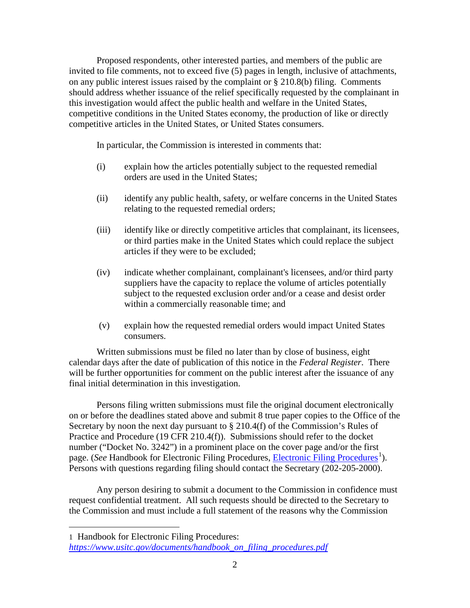Proposed respondents, other interested parties, and members of the public are invited to file comments, not to exceed five (5) pages in length, inclusive of attachments, on any public interest issues raised by the complaint or § 210.8(b) filing. Comments should address whether issuance of the relief specifically requested by the complainant in this investigation would affect the public health and welfare in the United States, competitive conditions in the United States economy, the production of like or directly competitive articles in the United States, or United States consumers.

In particular, the Commission is interested in comments that:

- (i) explain how the articles potentially subject to the requested remedial orders are used in the United States;
- (ii) identify any public health, safety, or welfare concerns in the United States relating to the requested remedial orders;
- (iii) identify like or directly competitive articles that complainant, its licensees, or third parties make in the United States which could replace the subject articles if they were to be excluded;
- (iv) indicate whether complainant, complainant's licensees, and/or third party suppliers have the capacity to replace the volume of articles potentially subject to the requested exclusion order and/or a cease and desist order within a commercially reasonable time; and
- (v) explain how the requested remedial orders would impact United States consumers.

Written submissions must be filed no later than by close of business, eight calendar days after the date of publication of this notice in the *Federal Register*. There will be further opportunities for comment on the public interest after the issuance of any final initial determination in this investigation.

Persons filing written submissions must file the original document electronically on or before the deadlines stated above and submit 8 true paper copies to the Office of the Secretary by noon the next day pursuant to  $\S 210.4(f)$  of the Commission's Rules of Practice and Procedure (19 CFR 210.4(f)). Submissions should refer to the docket number ("Docket No. 3242") in a prominent place on the cover page and/or the first page. (*See* Handbook for [Electronic Filing Procedures](https://www.usitc.gov/documents/handbook_on_filing_procedures.pdf), *Electronic Filing Procedures*<sup>[1](#page-1-0)</sup>). Persons with questions regarding filing should contact the Secretary (202-205-2000).

Any person desiring to submit a document to the Commission in confidence must request confidential treatment. All such requests should be directed to the Secretary to the Commission and must include a full statement of the reasons why the Commission

 $\overline{a}$ 

<span id="page-1-0"></span><sup>1</sup> Handbook for Electronic Filing Procedures: *[https://www.usitc.gov/documents/handbook\\_on\\_filing\\_procedures.pdf](https://www.usitc.gov/documents/handbook_on_filing_procedures.pdf)*